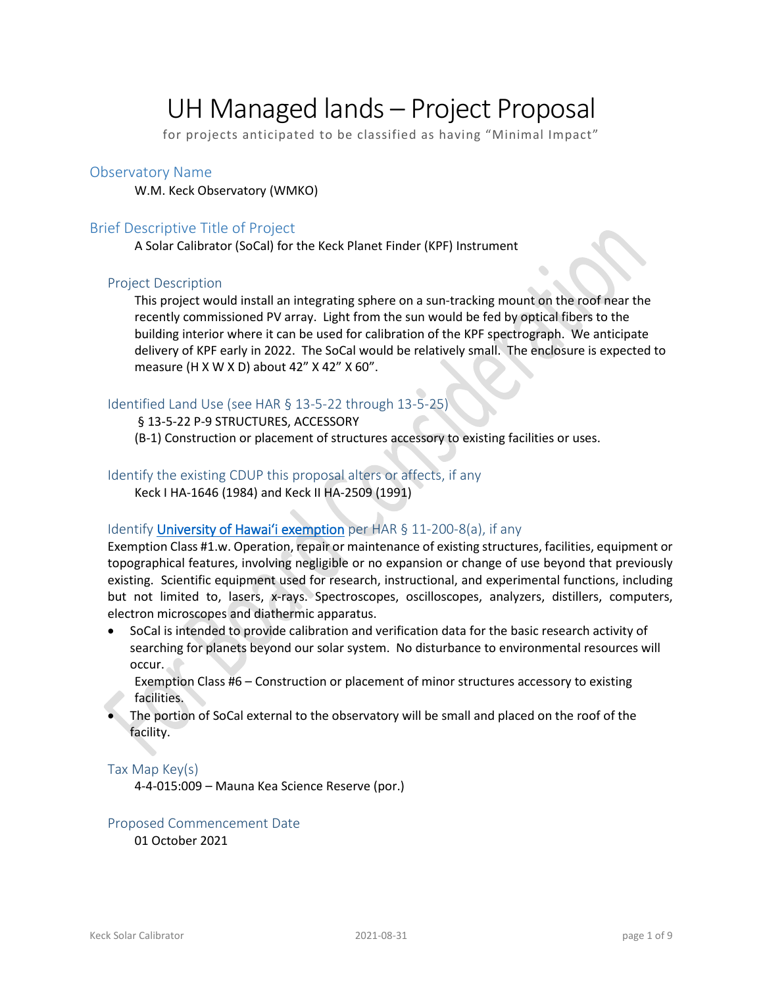# UH Managed lands – Project Proposal

for projects anticipated to be classified as having "Minimal Impact"

### Observatory Name

W.M. Keck Observatory (WMKO)

## Brief Descriptive Title of Project

A Solar Calibrator (SoCal) for the Keck Planet Finder (KPF) Instrument

#### Project Description

This project would install an integrating sphere on a sun-tracking mount on the roof near the recently commissioned PV array. Light from the sun would be fed by optical fibers to the building interior where it can be used for calibration of the KPF spectrograph. We anticipate delivery of KPF early in 2022. The SoCal would be relatively small. The enclosure is expected to measure (H X W X D) about 42" X 42" X 60".

## Identified Land Use (see HAR § 13-5-22 through 13-5-25)

#### § 13-5-22 P-9 STRUCTURES, ACCESSORY

(B-1) Construction or placement of structures accessory to existing facilities or uses.

## Identify the existing CDUP this proposal alters or affects, if any

Keck I HA-1646 (1984) and Keck II HA-2509 (1991)

## Identify University of Hawai'i exemption per HAR § 11-200-8(a), if any

Exemption Class #1.w. Operation, repair or maintenance of existing structures, facilities, equipment or topographical features, involving negligible or no expansion or change of use beyond that previously existing. Scientific equipment used for research, instructional, and experimental functions, including but not limited to, lasers, x-rays. Spectroscopes, oscilloscopes, analyzers, distillers, computers, electron microscopes and diathermic apparatus.

• SoCal is intended to provide calibration and verification data for the basic research activity of searching for planets beyond our solar system. No disturbance to environmental resources will occur.

Exemption Class #6 – Construction or placement of minor structures accessory to existing facilities.

• The portion of SoCal external to the observatory will be small and placed on the roof of the facility.

#### Tax Map Key(s)

4-4-015:009 – Mauna Kea Science Reserve (por.)

## Proposed Commencement Date

01 October 2021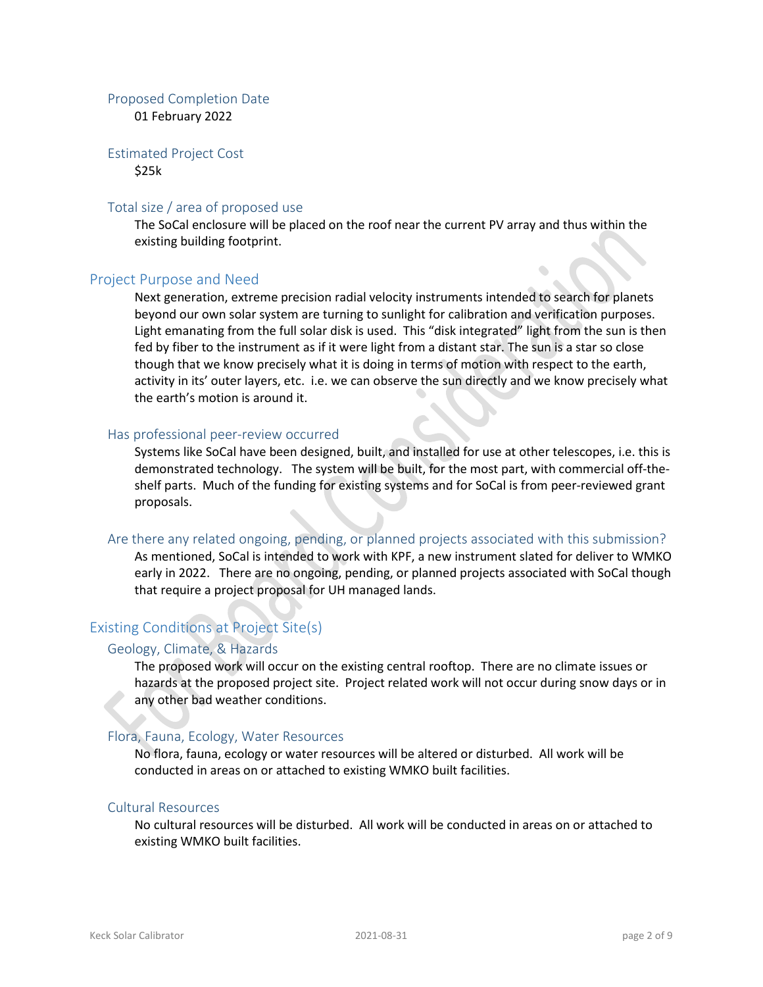## Proposed Completion Date

01 February 2022

#### Estimated Project Cost \$25k

#### Total size / area of proposed use

The SoCal enclosure will be placed on the roof near the current PV array and thus within the existing building footprint.

#### Project Purpose and Need

Next generation, extreme precision radial velocity instruments intended to search for planets beyond our own solar system are turning to sunlight for calibration and verification purposes. Light emanating from the full solar disk is used. This "disk integrated" light from the sun is then fed by fiber to the instrument as if it were light from a distant star. The sun is a star so close though that we know precisely what it is doing in terms of motion with respect to the earth, activity in its' outer layers, etc. i.e. we can observe the sun directly and we know precisely what the earth's motion is around it.

#### Has professional peer-review occurred

Systems like SoCal have been designed, built, and installed for use at other telescopes, i.e. this is demonstrated technology. The system will be built, for the most part, with commercial off-theshelf parts. Much of the funding for existing systems and for SoCal is from peer-reviewed grant proposals.

#### Are there any related ongoing, pending, or planned projects associated with this submission?

As mentioned, SoCal is intended to work with KPF, a new instrument slated for deliver to WMKO early in 2022. There are no ongoing, pending, or planned projects associated with SoCal though that require a project proposal for UH managed lands.

## Existing Conditions at Project Site(s)

#### Geology, Climate, & Hazards

The proposed work will occur on the existing central rooftop. There are no climate issues or hazards at the proposed project site. Project related work will not occur during snow days or in any other bad weather conditions.

## Flora, Fauna, Ecology, Water Resources

No flora, fauna, ecology or water resources will be altered or disturbed. All work will be conducted in areas on or attached to existing WMKO built facilities.

#### Cultural Resources

No cultural resources will be disturbed. All work will be conducted in areas on or attached to existing WMKO built facilities.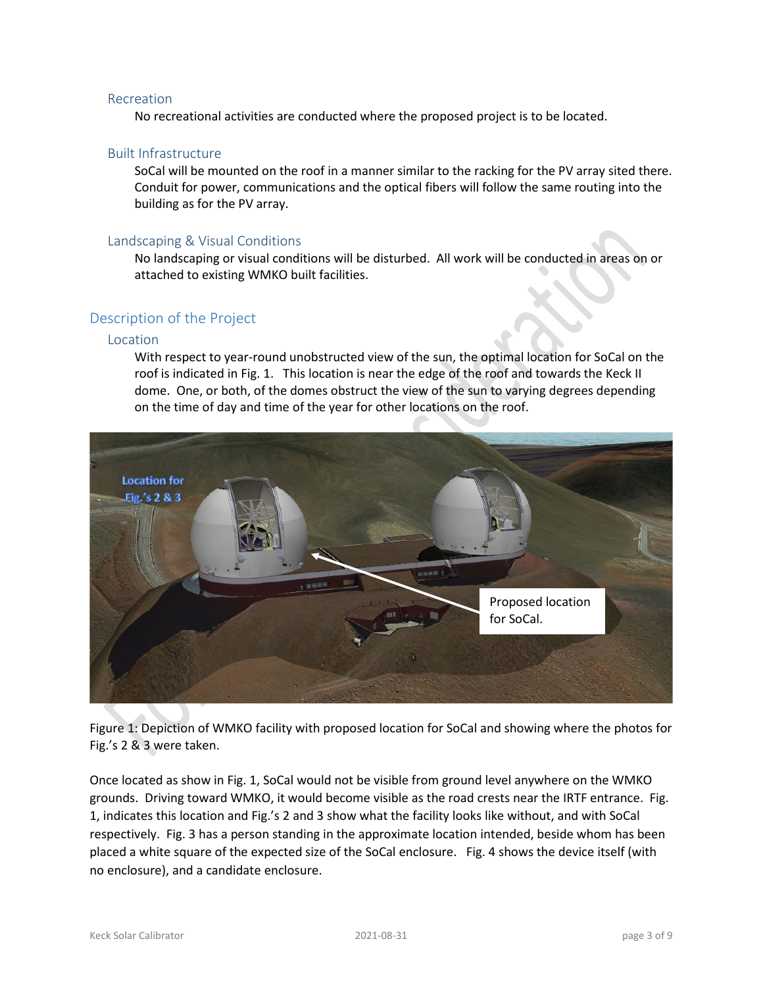#### Recreation

No recreational activities are conducted where the proposed project is to be located.

## Built Infrastructure

SoCal will be mounted on the roof in a manner similar to the racking for the PV array sited there. Conduit for power, communications and the optical fibers will follow the same routing into the building as for the PV array.

#### Landscaping & Visual Conditions

No landscaping or visual conditions will be disturbed. All work will be conducted in areas on or attached to existing WMKO built facilities.

## Description of the Project

#### Location

With respect to year-round unobstructed view of the sun, the optimal location for SoCal on the roof is indicated in Fig. 1. This location is near the edge of the roof and towards the Keck II dome. One, or both, of the domes obstruct the view of the sun to varying degrees depending on the time of day and time of the year for other locations on the roof.



Figure 1: Depiction of WMKO facility with proposed location for SoCal and showing where the photos for Fig.'s 2 & 3 were taken.

Once located as show in Fig. 1, SoCal would not be visible from ground level anywhere on the WMKO grounds. Driving toward WMKO, it would become visible as the road crests near the IRTF entrance. Fig. 1, indicates this location and Fig.'s 2 and 3 show what the facility looks like without, and with SoCal respectively. Fig. 3 has a person standing in the approximate location intended, beside whom has been placed a white square of the expected size of the SoCal enclosure. Fig. 4 shows the device itself (with no enclosure), and a candidate enclosure.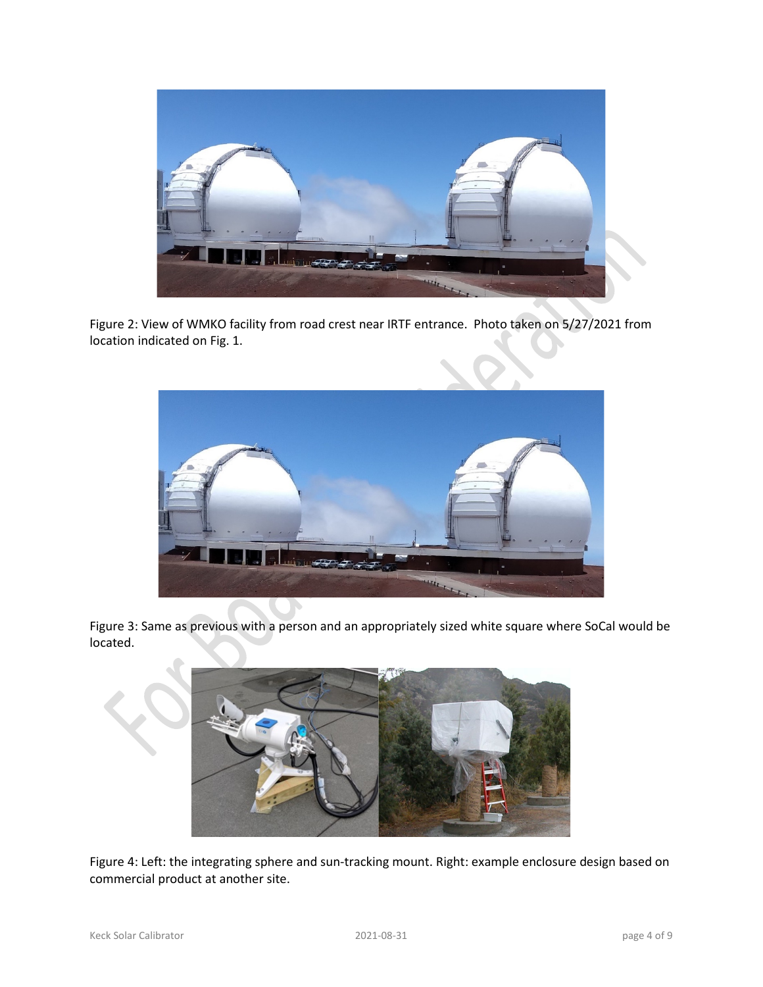

Figure 2: View of WMKO facility from road crest near IRTF entrance. Photo taken on 5/27/2021 from location indicated on Fig. 1.



Figure 3: Same as previous with a person and an appropriately sized white square where SoCal would be located.



Figure 4: Left: the integrating sphere and sun-tracking mount. Right: example enclosure design based on commercial product at another site.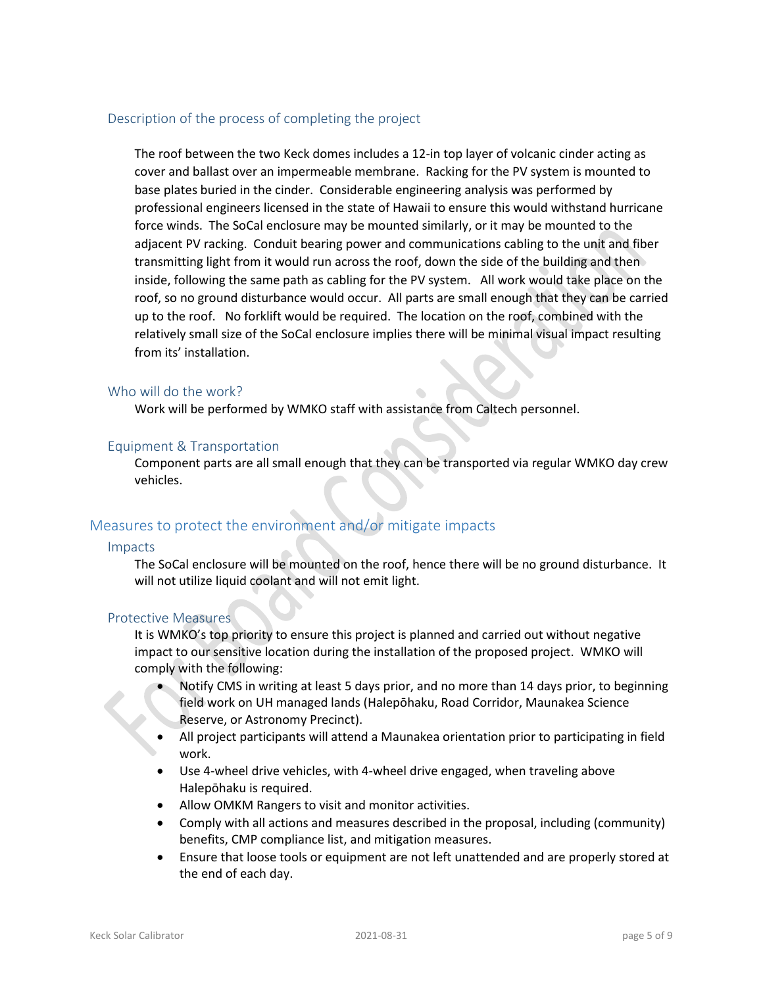## Description of the process of completing the project

The roof between the two Keck domes includes a 12-in top layer of volcanic cinder acting as cover and ballast over an impermeable membrane. Racking for the PV system is mounted to base plates buried in the cinder. Considerable engineering analysis was performed by professional engineers licensed in the state of Hawaii to ensure this would withstand hurricane force winds. The SoCal enclosure may be mounted similarly, or it may be mounted to the adjacent PV racking. Conduit bearing power and communications cabling to the unit and fiber transmitting light from it would run across the roof, down the side of the building and then inside, following the same path as cabling for the PV system. All work would take place on the roof, so no ground disturbance would occur. All parts are small enough that they can be carried up to the roof. No forklift would be required. The location on the roof, combined with the relatively small size of the SoCal enclosure implies there will be minimal visual impact resulting from its' installation.

#### Who will do the work?

Work will be performed by WMKO staff with assistance from Caltech personnel.

## Equipment & Transportation

Component parts are all small enough that they can be transported via regular WMKO day crew vehicles.

## Measures to protect the environment and/or mitigate impacts

#### Impacts

The SoCal enclosure will be mounted on the roof, hence there will be no ground disturbance. It will not utilize liquid coolant and will not emit light.

#### Protective Measures

It is WMKO's top priority to ensure this project is planned and carried out without negative impact to our sensitive location during the installation of the proposed project. WMKO will comply with the following:

- Notify CMS in writing at least 5 days prior, and no more than 14 days prior, to beginning field work on UH managed lands (Halepōhaku, Road Corridor, Maunakea Science Reserve, or Astronomy Precinct).
- All project participants will attend a Maunakea orientation prior to participating in field work.
- Use 4-wheel drive vehicles, with 4-wheel drive engaged, when traveling above Halepōhaku is required.
- Allow OMKM Rangers to visit and monitor activities.
- Comply with all actions and measures described in the proposal, including (community) benefits, CMP compliance list, and mitigation measures.
- Ensure that loose tools or equipment are not left unattended and are properly stored at the end of each day.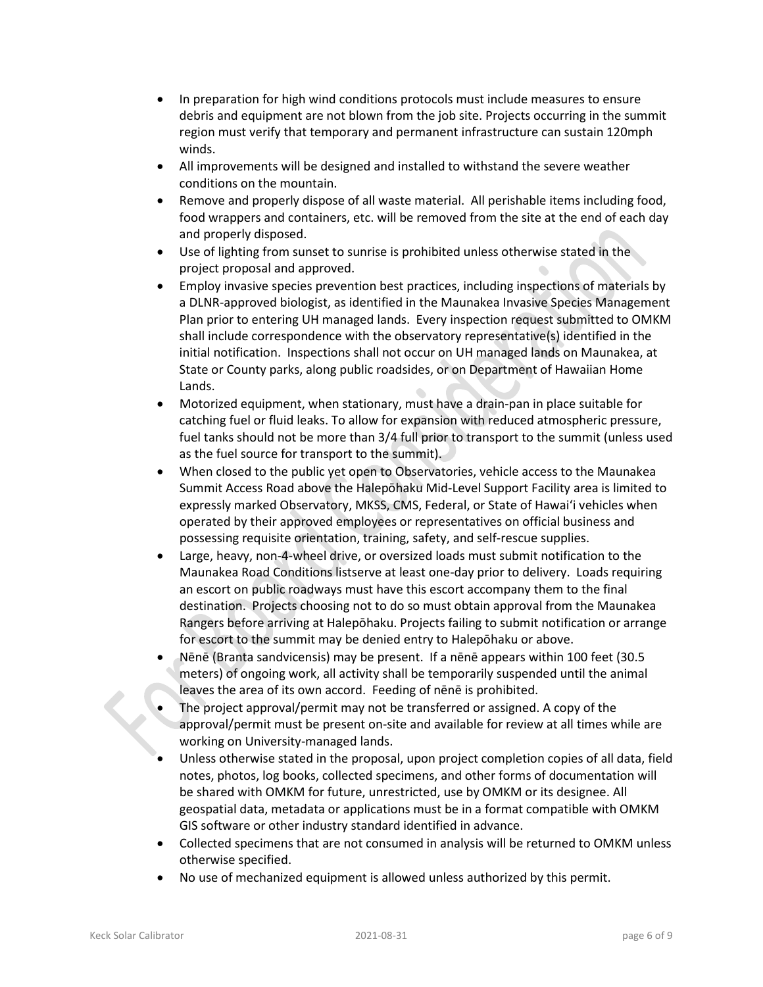- In preparation for high wind conditions protocols must include measures to ensure debris and equipment are not blown from the job site. Projects occurring in the summit region must verify that temporary and permanent infrastructure can sustain 120mph winds.
- All improvements will be designed and installed to withstand the severe weather conditions on the mountain.
- Remove and properly dispose of all waste material. All perishable items including food, food wrappers and containers, etc. will be removed from the site at the end of each day and properly disposed.
- Use of lighting from sunset to sunrise is prohibited unless otherwise stated in the project proposal and approved.
- Employ invasive species prevention best practices, including inspections of materials by a DLNR-approved biologist, as identified in the Maunakea Invasive Species Management Plan prior to entering UH managed lands. Every inspection request submitted to OMKM shall include correspondence with the observatory representative(s) identified in the initial notification. Inspections shall not occur on UH managed lands on Maunakea, at State or County parks, along public roadsides, or on Department of Hawaiian Home Lands.
- Motorized equipment, when stationary, must have a drain-pan in place suitable for catching fuel or fluid leaks. To allow for expansion with reduced atmospheric pressure, fuel tanks should not be more than 3/4 full prior to transport to the summit (unless used as the fuel source for transport to the summit).
- When closed to the public yet open to Observatories, vehicle access to the Maunakea Summit Access Road above the Halepōhaku Mid-Level Support Facility area is limited to expressly marked Observatory, MKSS, CMS, Federal, or State of Hawaiʻi vehicles when operated by their approved employees or representatives on official business and possessing requisite orientation, training, safety, and self-rescue supplies.
- Large, heavy, non-4-wheel drive, or oversized loads must submit notification to the Maunakea Road Conditions listserve at least one-day prior to delivery. Loads requiring an escort on public roadways must have this escort accompany them to the final destination. Projects choosing not to do so must obtain approval from the Maunakea Rangers before arriving at Halepōhaku. Projects failing to submit notification or arrange for escort to the summit may be denied entry to Halepōhaku or above.
- Nēnē (Branta sandvicensis) may be present. If a nēnē appears within 100 feet (30.5 meters) of ongoing work, all activity shall be temporarily suspended until the animal leaves the area of its own accord. Feeding of nēnē is prohibited.
- The project approval/permit may not be transferred or assigned. A copy of the approval/permit must be present on-site and available for review at all times while are working on University-managed lands.
- Unless otherwise stated in the proposal, upon project completion copies of all data, field notes, photos, log books, collected specimens, and other forms of documentation will be shared with OMKM for future, unrestricted, use by OMKM or its designee. All geospatial data, metadata or applications must be in a format compatible with OMKM GIS software or other industry standard identified in advance.
- Collected specimens that are not consumed in analysis will be returned to OMKM unless otherwise specified.
- No use of mechanized equipment is allowed unless authorized by this permit.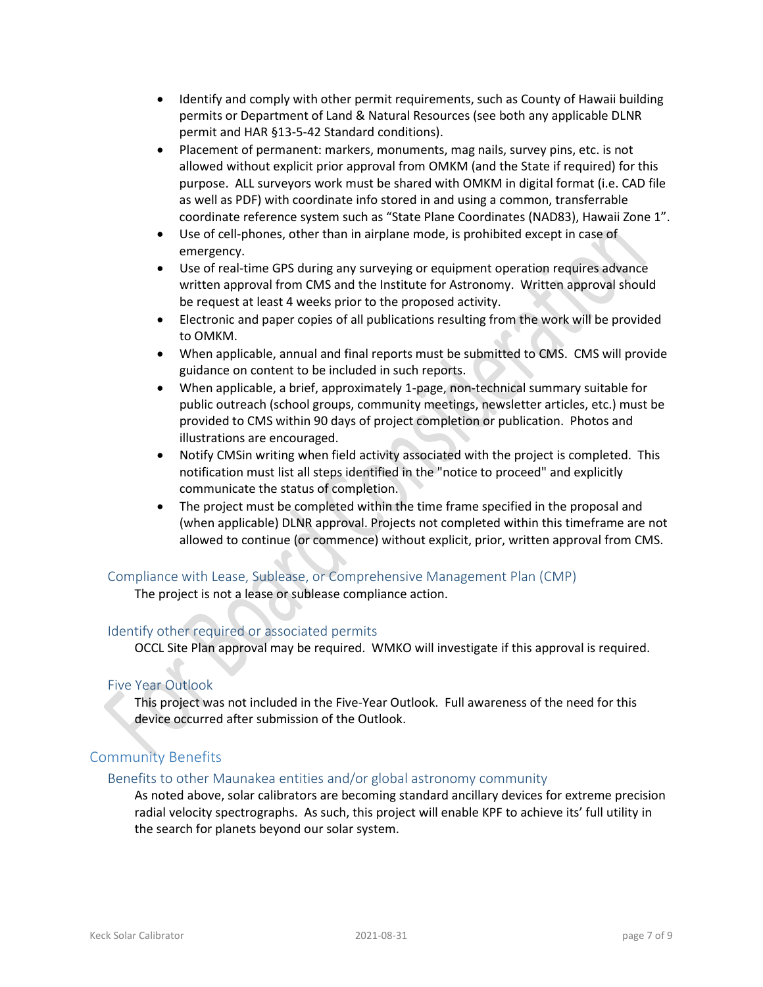- Identify and comply with other permit requirements, such as County of Hawaii building permits or Department of Land & Natural Resources (see both any applicable DLNR permit and HAR §13-5-42 Standard conditions).
- Placement of permanent: markers, monuments, mag nails, survey pins, etc. is not allowed without explicit prior approval from OMKM (and the State if required) for this purpose. ALL surveyors work must be shared with OMKM in digital format (i.e. CAD file as well as PDF) with coordinate info stored in and using a common, transferrable coordinate reference system such as "State Plane Coordinates (NAD83), Hawaii Zone 1".
- Use of cell-phones, other than in airplane mode, is prohibited except in case of emergency.
- Use of real-time GPS during any surveying or equipment operation requires advance written approval from CMS and the Institute for Astronomy. Written approval should be request at least 4 weeks prior to the proposed activity.
- Electronic and paper copies of all publications resulting from the work will be provided to OMKM.
- When applicable, annual and final reports must be submitted to CMS. CMS will provide guidance on content to be included in such reports.
- When applicable, a brief, approximately 1-page, non-technical summary suitable for public outreach (school groups, community meetings, newsletter articles, etc.) must be provided to CMS within 90 days of project completion or publication. Photos and illustrations are encouraged.
- Notify CMSin writing when field activity associated with the project is completed. This notification must list all steps identified in the "notice to proceed" and explicitly communicate the status of completion.
- The project must be completed within the time frame specified in the proposal and (when applicable) DLNR approval. Projects not completed within this timeframe are not allowed to continue (or commence) without explicit, prior, written approval from CMS.

## Compliance with Lease, Sublease, or Comprehensive Management Plan (CMP)

The project is not a lease or sublease compliance action.

## Identify other required or associated permits

OCCL Site Plan approval may be required. WMKO will investigate if this approval is required.

## Five Year Outlook

This project was not included in the Five-Year Outlook. Full awareness of the need for this device occurred after submission of the Outlook.

## Community Benefits

## Benefits to other Maunakea entities and/or global astronomy community

As noted above, solar calibrators are becoming standard ancillary devices for extreme precision radial velocity spectrographs. As such, this project will enable KPF to achieve its' full utility in the search for planets beyond our solar system.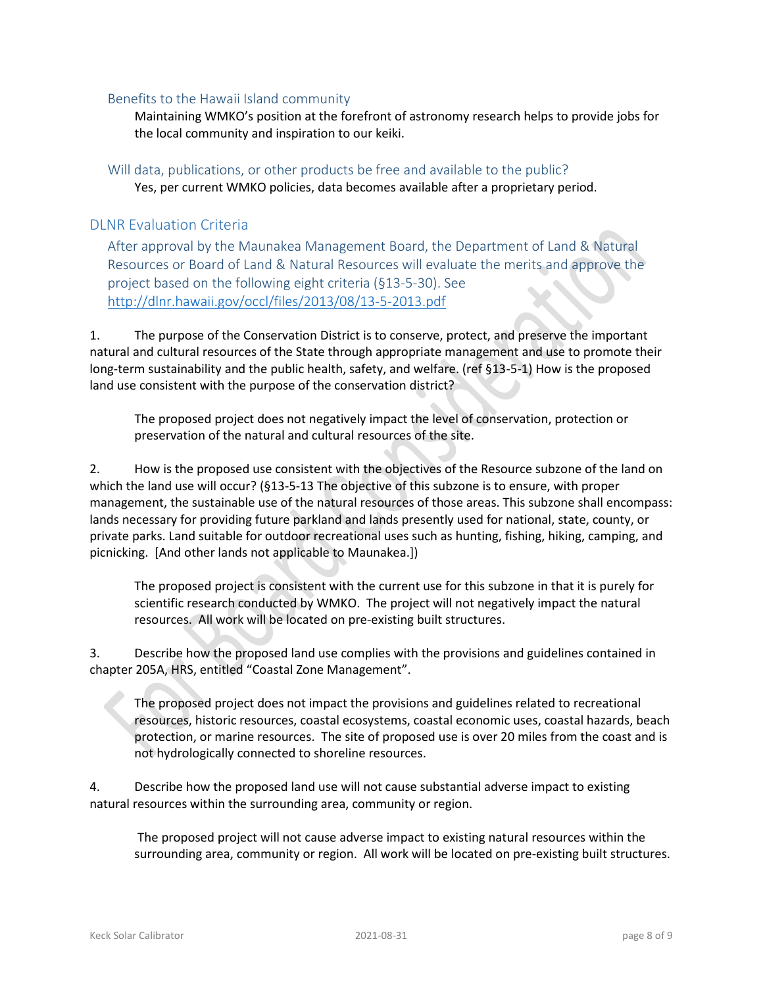## Benefits to the Hawaii Island community

Maintaining WMKO's position at the forefront of astronomy research helps to provide jobs for the local community and inspiration to our keiki.

Will data, publications, or other products be free and available to the public? Yes, per current WMKO policies, data becomes available after a proprietary period.

## DLNR Evaluation Criteria

After approval by the Maunakea Management Board, the Department of Land & Natural Resources or Board of Land & Natural Resources will evaluate the merits and approve the project based on the following eight criteria (§13-5-30). See <http://dlnr.hawaii.gov/occl/files/2013/08/13-5-2013.pdf>

1. The purpose of the Conservation District is to conserve, protect, and preserve the important natural and cultural resources of the State through appropriate management and use to promote their long-term sustainability and the public health, safety, and welfare. (ref §13-5-1) How is the proposed land use consistent with the purpose of the conservation district?

The proposed project does not negatively impact the level of conservation, protection or preservation of the natural and cultural resources of the site.

2. How is the proposed use consistent with the objectives of the Resource subzone of the land on which the land use will occur? (§13-5-13 The objective of this subzone is to ensure, with proper management, the sustainable use of the natural resources of those areas. This subzone shall encompass: lands necessary for providing future parkland and lands presently used for national, state, county, or private parks. Land suitable for outdoor recreational uses such as hunting, fishing, hiking, camping, and picnicking. [And other lands not applicable to Maunakea.])

The proposed project is consistent with the current use for this subzone in that it is purely for scientific research conducted by WMKO. The project will not negatively impact the natural resources. All work will be located on pre-existing built structures.

3. Describe how the proposed land use complies with the provisions and guidelines contained in chapter 205A, HRS, entitled "Coastal Zone Management".

The proposed project does not impact the provisions and guidelines related to recreational resources, historic resources, coastal ecosystems, coastal economic uses, coastal hazards, beach protection, or marine resources. The site of proposed use is over 20 miles from the coast and is not hydrologically connected to shoreline resources.

4. Describe how the proposed land use will not cause substantial adverse impact to existing natural resources within the surrounding area, community or region.

The proposed project will not cause adverse impact to existing natural resources within the surrounding area, community or region. All work will be located on pre-existing built structures.